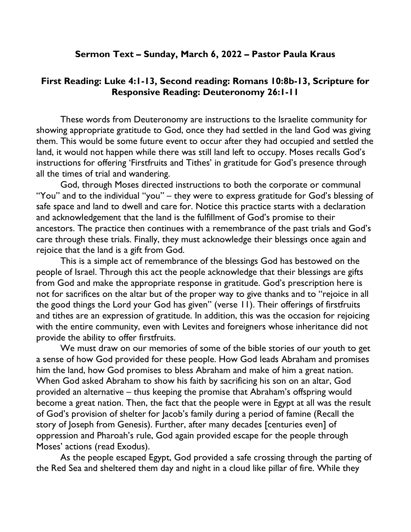## Sermon Text – Sunday, March 6, 2022 – Pastor Paula Kraus

## First Reading: Luke 4:1-13, Second reading: Romans 10:8b-13, Scripture for Responsive Reading: Deuteronomy 26:1-11

These words from Deuteronomy are instructions to the Israelite community for showing appropriate gratitude to God, once they had settled in the land God was giving them. This would be some future event to occur after they had occupied and settled the land, it would not happen while there was still land left to occupy. Moses recalls God's instructions for offering 'Firstfruits and Tithes' in gratitude for God's presence through all the times of trial and wandering.

God, through Moses directed instructions to both the corporate or communal "You" and to the individual "you" – they were to express gratitude for God's blessing of safe space and land to dwell and care for. Notice this practice starts with a declaration and acknowledgement that the land is the fulfillment of God's promise to their ancestors. The practice then continues with a remembrance of the past trials and God's care through these trials. Finally, they must acknowledge their blessings once again and rejoice that the land is a gift from God.

This is a simple act of remembrance of the blessings God has bestowed on the people of Israel. Through this act the people acknowledge that their blessings are gifts from God and make the appropriate response in gratitude. God's prescription here is not for sacrifices on the altar but of the proper way to give thanks and to "rejoice in all the good things the Lord your God has given" (verse 11). Their offerings of firstfruits and tithes are an expression of gratitude. In addition, this was the occasion for rejoicing with the entire community, even with Levites and foreigners whose inheritance did not provide the ability to offer firstfruits.

We must draw on our memories of some of the bible stories of our youth to get a sense of how God provided for these people. How God leads Abraham and promises him the land, how God promises to bless Abraham and make of him a great nation. When God asked Abraham to show his faith by sacrificing his son on an altar, God provided an alternative – thus keeping the promise that Abraham's offspring would become a great nation. Then, the fact that the people were in Egypt at all was the result of God's provision of shelter for Jacob's family during a period of famine (Recall the story of Joseph from Genesis). Further, after many decades [centuries even] of oppression and Pharoah's rule, God again provided escape for the people through Moses' actions (read Exodus).

As the people escaped Egypt, God provided a safe crossing through the parting of the Red Sea and sheltered them day and night in a cloud like pillar of fire. While they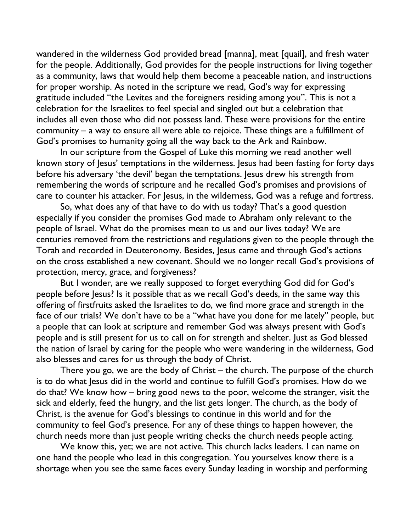wandered in the wilderness God provided bread [manna], meat [quail], and fresh water for the people. Additionally, God provides for the people instructions for living together as a community, laws that would help them become a peaceable nation, and instructions for proper worship. As noted in the scripture we read, God's way for expressing gratitude included "the Levites and the foreigners residing among you". This is not a celebration for the Israelites to feel special and singled out but a celebration that includes all even those who did not possess land. These were provisions for the entire community – a way to ensure all were able to rejoice. These things are a fulfillment of God's promises to humanity going all the way back to the Ark and Rainbow.

In our scripture from the Gospel of Luke this morning we read another well known story of Jesus' temptations in the wilderness. Jesus had been fasting for forty days before his adversary 'the devil' began the temptations. Jesus drew his strength from remembering the words of scripture and he recalled God's promises and provisions of care to counter his attacker. For Jesus, in the wilderness, God was a refuge and fortress.

So, what does any of that have to do with us today? That's a good question especially if you consider the promises God made to Abraham only relevant to the people of Israel. What do the promises mean to us and our lives today? We are centuries removed from the restrictions and regulations given to the people through the Torah and recorded in Deuteronomy. Besides, Jesus came and through God's actions on the cross established a new covenant. Should we no longer recall God's provisions of protection, mercy, grace, and forgiveness?

But I wonder, are we really supposed to forget everything God did for God's people before Jesus? Is it possible that as we recall God's deeds, in the same way this offering of firstfruits asked the Israelites to do, we find more grace and strength in the face of our trials? We don't have to be a "what have you done for me lately" people, but a people that can look at scripture and remember God was always present with God's people and is still present for us to call on for strength and shelter. Just as God blessed the nation of Israel by caring for the people who were wandering in the wilderness, God also blesses and cares for us through the body of Christ.

There you go, we are the body of Christ – the church. The purpose of the church is to do what Jesus did in the world and continue to fulfill God's promises. How do we do that? We know how – bring good news to the poor, welcome the stranger, visit the sick and elderly, feed the hungry, and the list gets longer. The church, as the body of Christ, is the avenue for God's blessings to continue in this world and for the community to feel God's presence. For any of these things to happen however, the church needs more than just people writing checks the church needs people acting.

We know this, yet; we are not active. This church lacks leaders. I can name on one hand the people who lead in this congregation. You yourselves know there is a shortage when you see the same faces every Sunday leading in worship and performing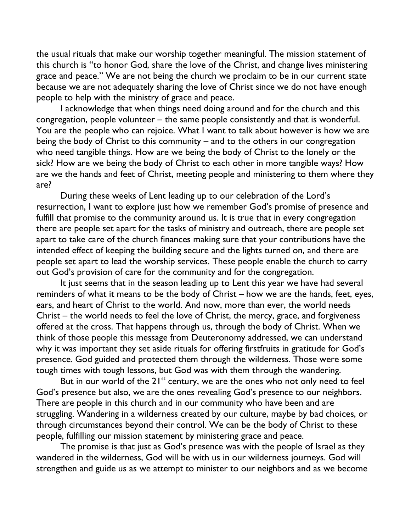the usual rituals that make our worship together meaningful. The mission statement of this church is "to honor God, share the love of the Christ, and change lives ministering grace and peace." We are not being the church we proclaim to be in our current state because we are not adequately sharing the love of Christ since we do not have enough people to help with the ministry of grace and peace.

I acknowledge that when things need doing around and for the church and this congregation, people volunteer – the same people consistently and that is wonderful. You are the people who can rejoice. What I want to talk about however is how we are being the body of Christ to this community – and to the others in our congregation who need tangible things. How are we being the body of Christ to the lonely or the sick? How are we being the body of Christ to each other in more tangible ways? How are we the hands and feet of Christ, meeting people and ministering to them where they are?

During these weeks of Lent leading up to our celebration of the Lord's resurrection, I want to explore just how we remember God's promise of presence and fulfill that promise to the community around us. It is true that in every congregation there are people set apart for the tasks of ministry and outreach, there are people set apart to take care of the church finances making sure that your contributions have the intended effect of keeping the building secure and the lights turned on, and there are people set apart to lead the worship services. These people enable the church to carry out God's provision of care for the community and for the congregation.

It just seems that in the season leading up to Lent this year we have had several reminders of what it means to be the body of Christ – how we are the hands, feet, eyes, ears, and heart of Christ to the world. And now, more than ever, the world needs Christ – the world needs to feel the love of Christ, the mercy, grace, and forgiveness offered at the cross. That happens through us, through the body of Christ. When we think of those people this message from Deuteronomy addressed, we can understand why it was important they set aside rituals for offering firstfruits in gratitude for God's presence. God guided and protected them through the wilderness. Those were some tough times with tough lessons, but God was with them through the wandering.

But in our world of the 21<sup>st</sup> century, we are the ones who not only need to feel God's presence but also, we are the ones revealing God's presence to our neighbors. There are people in this church and in our community who have been and are struggling. Wandering in a wilderness created by our culture, maybe by bad choices, or through circumstances beyond their control. We can be the body of Christ to these people, fulfilling our mission statement by ministering grace and peace.

The promise is that just as God's presence was with the people of Israel as they wandered in the wilderness, God will be with us in our wilderness journeys. God will strengthen and guide us as we attempt to minister to our neighbors and as we become